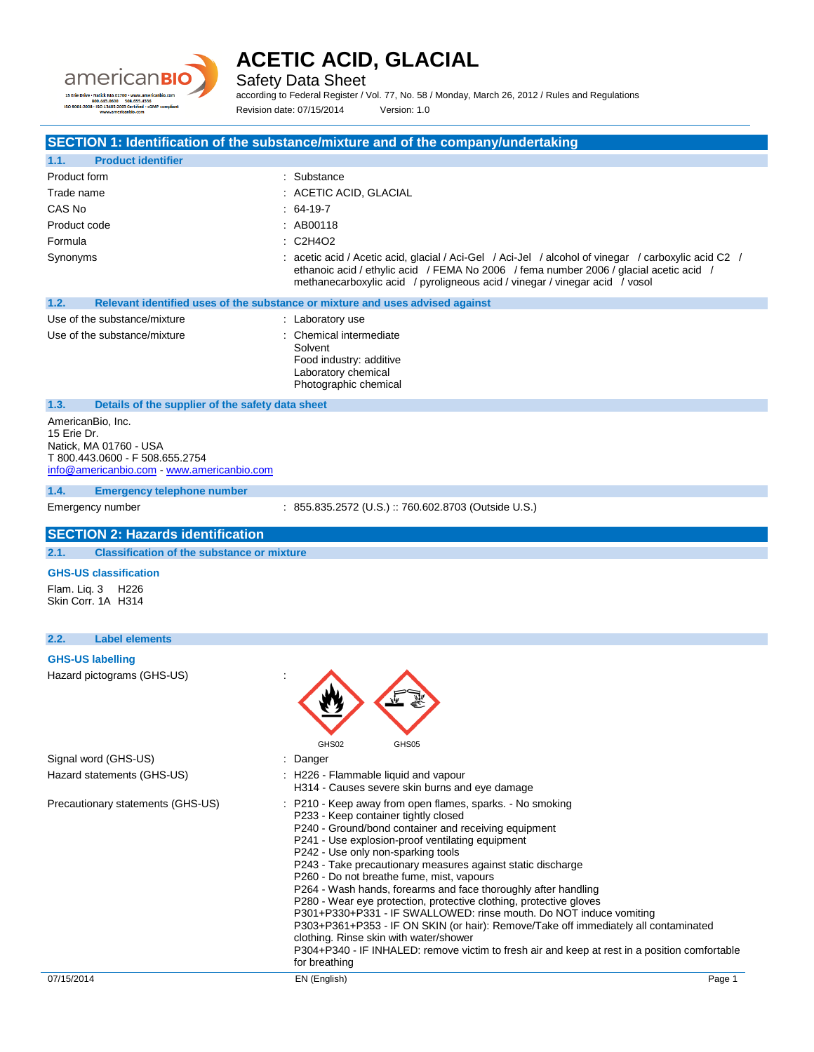

Safety Data Sheet

according to Federal Register / Vol. 77, No. 58 / Monday, March 26, 2012 / Rules and Regulations Revision date: 07/15/2014 Version: 1.0

**SECTION 1: Identification of the substance/mixture and of the company/undertaking**

| 1.1.                                                                                                                                        |                                                                                                                                                                                                                                                                               |
|---------------------------------------------------------------------------------------------------------------------------------------------|-------------------------------------------------------------------------------------------------------------------------------------------------------------------------------------------------------------------------------------------------------------------------------|
| Product form                                                                                                                                | : Substance                                                                                                                                                                                                                                                                   |
| Trade name                                                                                                                                  | : ACETIC ACID, GLACIAL                                                                                                                                                                                                                                                        |
| CAS No                                                                                                                                      | $: 64-19-7$                                                                                                                                                                                                                                                                   |
| Product code                                                                                                                                | : AB00118                                                                                                                                                                                                                                                                     |
| Formula                                                                                                                                     | : C2H4O2                                                                                                                                                                                                                                                                      |
| Synonyms                                                                                                                                    | : acetic acid / Acetic acid, glacial / Aci-Gel / Aci-Jel / alcohol of vinegar / carboxylic acid C2 /<br>ethanoic acid / ethylic acid / FEMA No 2006 / fema number 2006 / glacial acetic acid /<br>methanecarboxylic acid / pyroligneous acid / vinegar / vinegar acid / vosol |
| 1.2.                                                                                                                                        | Relevant identified uses of the substance or mixture and uses advised against                                                                                                                                                                                                 |
| Use of the substance/mixture                                                                                                                | : Laboratory use                                                                                                                                                                                                                                                              |
| Use of the substance/mixture                                                                                                                | : Chemical intermediate<br>Solvent<br>Food industry: additive<br>Laboratory chemical<br>Photographic chemical                                                                                                                                                                 |
| 1.3.<br>Details of the supplier of the safety data sheet                                                                                    |                                                                                                                                                                                                                                                                               |
| AmericanBio, Inc.<br>15 Erie Dr.<br>Natick. MA 01760 - USA<br>T 800.443.0600 - F 508.655.2754<br>info@americanbio.com - www.americanbio.com |                                                                                                                                                                                                                                                                               |
| 1.4.<br><b>Emergency telephone number</b>                                                                                                   |                                                                                                                                                                                                                                                                               |
|                                                                                                                                             |                                                                                                                                                                                                                                                                               |
| Emergency number                                                                                                                            | : 855.835.2572 (U.S.) :: 760.602.8703 (Outside U.S.)                                                                                                                                                                                                                          |
| <b>SECTION 2: Hazards identification</b>                                                                                                    |                                                                                                                                                                                                                                                                               |
| <b>Classification of the substance or mixture</b><br>2.1.                                                                                   |                                                                                                                                                                                                                                                                               |
| <b>GHS-US classification</b>                                                                                                                |                                                                                                                                                                                                                                                                               |
| Flam. Liq. 3 H226<br>Skin Corr. 1A H314                                                                                                     |                                                                                                                                                                                                                                                                               |
| <b>Label elements</b>                                                                                                                       |                                                                                                                                                                                                                                                                               |
| 2.2.<br><b>GHS-US labelling</b>                                                                                                             |                                                                                                                                                                                                                                                                               |
| Hazard pictograms (GHS-US)                                                                                                                  | GHS02<br>GHS05                                                                                                                                                                                                                                                                |
| Signal word (GHS-US)                                                                                                                        | : Danger                                                                                                                                                                                                                                                                      |
| Hazard statements (GHS-US)                                                                                                                  | : H226 - Flammable liquid and vapour<br>H314 - Causes severe skin burns and eye damage                                                                                                                                                                                        |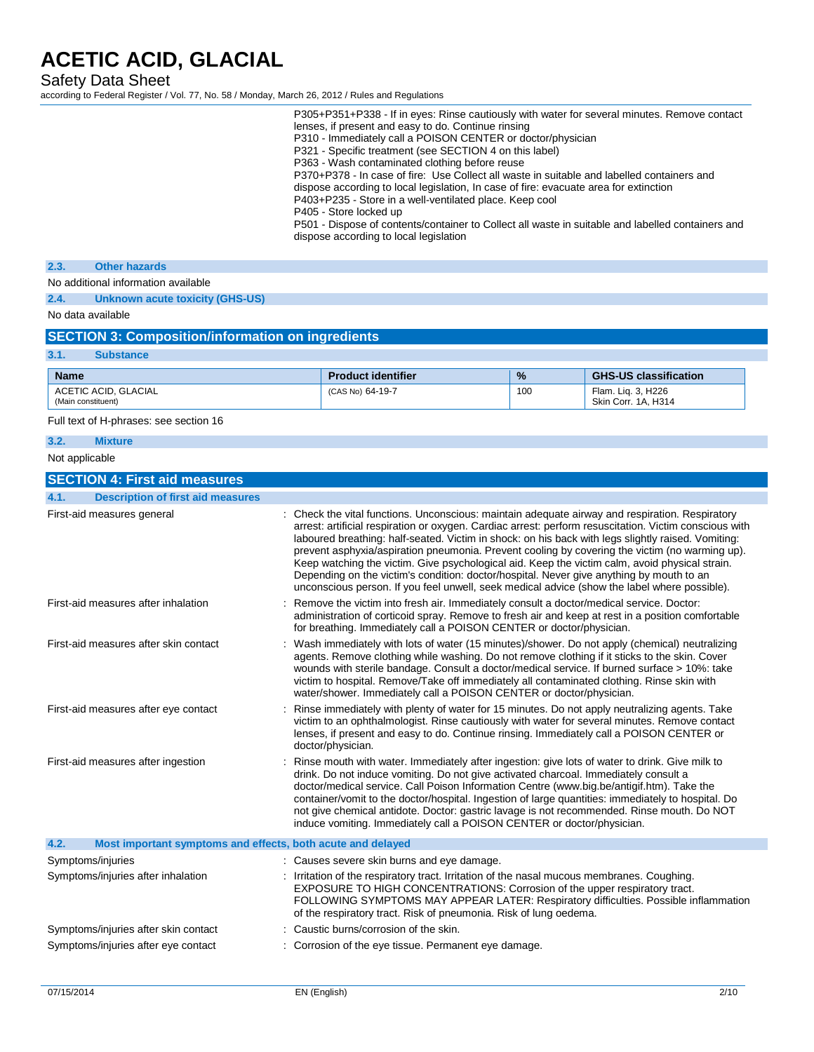Safety Data Sheet

according to Federal Register / Vol. 77, No. 58 / Monday, March 26, 2012 / Rules and Regulations

|                                                                     | P305+P351+P338 - If in eyes: Rinse cautiously with water for several minutes. Remove contact<br>lenses, if present and easy to do. Continue rinsing<br>P310 - Immediately call a POISON CENTER or doctor/physician<br>P321 - Specific treatment (see SECTION 4 on this label)<br>P363 - Wash contaminated clothing before reuse<br>P370+P378 - In case of fire: Use Collect all waste in suitable and labelled containers and<br>dispose according to local legislation, In case of fire: evacuate area for extinction<br>P403+P235 - Store in a well-ventilated place. Keep cool<br>P405 - Store locked up<br>P501 - Dispose of contents/container to Collect all waste in suitable and labelled containers and<br>dispose according to local legislation |     |                                           |
|---------------------------------------------------------------------|------------------------------------------------------------------------------------------------------------------------------------------------------------------------------------------------------------------------------------------------------------------------------------------------------------------------------------------------------------------------------------------------------------------------------------------------------------------------------------------------------------------------------------------------------------------------------------------------------------------------------------------------------------------------------------------------------------------------------------------------------------|-----|-------------------------------------------|
| 2.3.<br><b>Other hazards</b>                                        |                                                                                                                                                                                                                                                                                                                                                                                                                                                                                                                                                                                                                                                                                                                                                            |     |                                           |
| No additional information available                                 |                                                                                                                                                                                                                                                                                                                                                                                                                                                                                                                                                                                                                                                                                                                                                            |     |                                           |
| 2.4.<br><b>Unknown acute toxicity (GHS-US)</b>                      |                                                                                                                                                                                                                                                                                                                                                                                                                                                                                                                                                                                                                                                                                                                                                            |     |                                           |
| No data available                                                   |                                                                                                                                                                                                                                                                                                                                                                                                                                                                                                                                                                                                                                                                                                                                                            |     |                                           |
| <b>SECTION 3: Composition/information on ingredients</b>            |                                                                                                                                                                                                                                                                                                                                                                                                                                                                                                                                                                                                                                                                                                                                                            |     |                                           |
| 3.1.<br><b>Substance</b>                                            |                                                                                                                                                                                                                                                                                                                                                                                                                                                                                                                                                                                                                                                                                                                                                            |     |                                           |
| <b>Name</b>                                                         | <b>Product identifier</b>                                                                                                                                                                                                                                                                                                                                                                                                                                                                                                                                                                                                                                                                                                                                  | %   | <b>GHS-US classification</b>              |
| ACETIC ACID, GLACIAL<br>(Main constituent)                          | (CAS No) 64-19-7                                                                                                                                                                                                                                                                                                                                                                                                                                                                                                                                                                                                                                                                                                                                           | 100 | Flam. Liq. 3, H226<br>Skin Corr. 1A, H314 |
| Full text of H-phrases: see section 16                              |                                                                                                                                                                                                                                                                                                                                                                                                                                                                                                                                                                                                                                                                                                                                                            |     |                                           |
| 3.2.<br><b>Mixture</b>                                              |                                                                                                                                                                                                                                                                                                                                                                                                                                                                                                                                                                                                                                                                                                                                                            |     |                                           |
| Not applicable                                                      |                                                                                                                                                                                                                                                                                                                                                                                                                                                                                                                                                                                                                                                                                                                                                            |     |                                           |
| <b>SECTION 4: First aid measures</b>                                |                                                                                                                                                                                                                                                                                                                                                                                                                                                                                                                                                                                                                                                                                                                                                            |     |                                           |
| 4.1.<br><b>Description of first aid measures</b>                    |                                                                                                                                                                                                                                                                                                                                                                                                                                                                                                                                                                                                                                                                                                                                                            |     |                                           |
| First-aid measures general                                          | : Check the vital functions. Unconscious: maintain adequate airway and respiration. Respiratory<br>arrest: artificial respiration or oxygen. Cardiac arrest: perform resuscitation. Victim conscious with<br>laboured breathing: half-seated. Victim in shock: on his back with legs slightly raised. Vomiting:<br>prevent asphyxia/aspiration pneumonia. Prevent cooling by covering the victim (no warming up).<br>Keep watching the victim. Give psychological aid. Keep the victim calm, avoid physical strain.<br>Depending on the victim's condition: doctor/hospital. Never give anything by mouth to an<br>unconscious person. If you feel unwell, seek medical advice (show the label where possible).                                            |     |                                           |
| First-aid measures after inhalation                                 | Remove the victim into fresh air. Immediately consult a doctor/medical service. Doctor:<br>administration of corticoid spray. Remove to fresh air and keep at rest in a position comfortable<br>for breathing. Immediately call a POISON CENTER or doctor/physician.                                                                                                                                                                                                                                                                                                                                                                                                                                                                                       |     |                                           |
| First-aid measures after skin contact                               | Wash immediately with lots of water (15 minutes)/shower. Do not apply (chemical) neutralizing<br>agents. Remove clothing while washing. Do not remove clothing if it sticks to the skin. Cover<br>wounds with sterile bandage. Consult a doctor/medical service. If burned surface > 10%: take<br>victim to hospital. Remove/Take off immediately all contaminated clothing. Rinse skin with<br>water/shower. Immediately call a POISON CENTER or doctor/physician.                                                                                                                                                                                                                                                                                        |     |                                           |
| First-aid measures after eye contact                                | Rinse immediately with plenty of water for 15 minutes. Do not apply neutralizing agents. Take<br>victim to an ophthalmologist. Rinse cautiously with water for several minutes. Remove contact<br>lenses, if present and easy to do. Continue rinsing. Immediately call a POISON CENTER or<br>doctor/physician.                                                                                                                                                                                                                                                                                                                                                                                                                                            |     |                                           |
| First-aid measures after ingestion                                  | Rinse mouth with water. Immediately after ingestion: give lots of water to drink. Give milk to<br>drink. Do not induce vomiting. Do not give activated charcoal. Immediately consult a<br>doctor/medical service. Call Poison Information Centre (www.big.be/antigif.htm). Take the<br>container/vomit to the doctor/hospital. Ingestion of large quantities: immediately to hospital. Do<br>not give chemical antidote. Doctor: gastric lavage is not recommended. Rinse mouth. Do NOT<br>induce vomiting. Immediately call a POISON CENTER or doctor/physician.                                                                                                                                                                                          |     |                                           |
| 4.2.<br>Most important symptoms and effects, both acute and delayed |                                                                                                                                                                                                                                                                                                                                                                                                                                                                                                                                                                                                                                                                                                                                                            |     |                                           |
| Symptoms/injuries                                                   | : Causes severe skin burns and eye damage.                                                                                                                                                                                                                                                                                                                                                                                                                                                                                                                                                                                                                                                                                                                 |     |                                           |
| Symptoms/injuries after inhalation                                  | : Irritation of the respiratory tract. Irritation of the nasal mucous membranes. Coughing.<br>EXPOSURE TO HIGH CONCENTRATIONS: Corrosion of the upper respiratory tract.<br>FOLLOWING SYMPTOMS MAY APPEAR LATER: Respiratory difficulties. Possible inflammation<br>of the respiratory tract. Risk of pneumonia. Risk of lung oedema.                                                                                                                                                                                                                                                                                                                                                                                                                      |     |                                           |
| Symptoms/injuries after skin contact                                | Caustic burns/corrosion of the skin.                                                                                                                                                                                                                                                                                                                                                                                                                                                                                                                                                                                                                                                                                                                       |     |                                           |
| Symptoms/injuries after eye contact                                 | : Corrosion of the eye tissue. Permanent eye damage.                                                                                                                                                                                                                                                                                                                                                                                                                                                                                                                                                                                                                                                                                                       |     |                                           |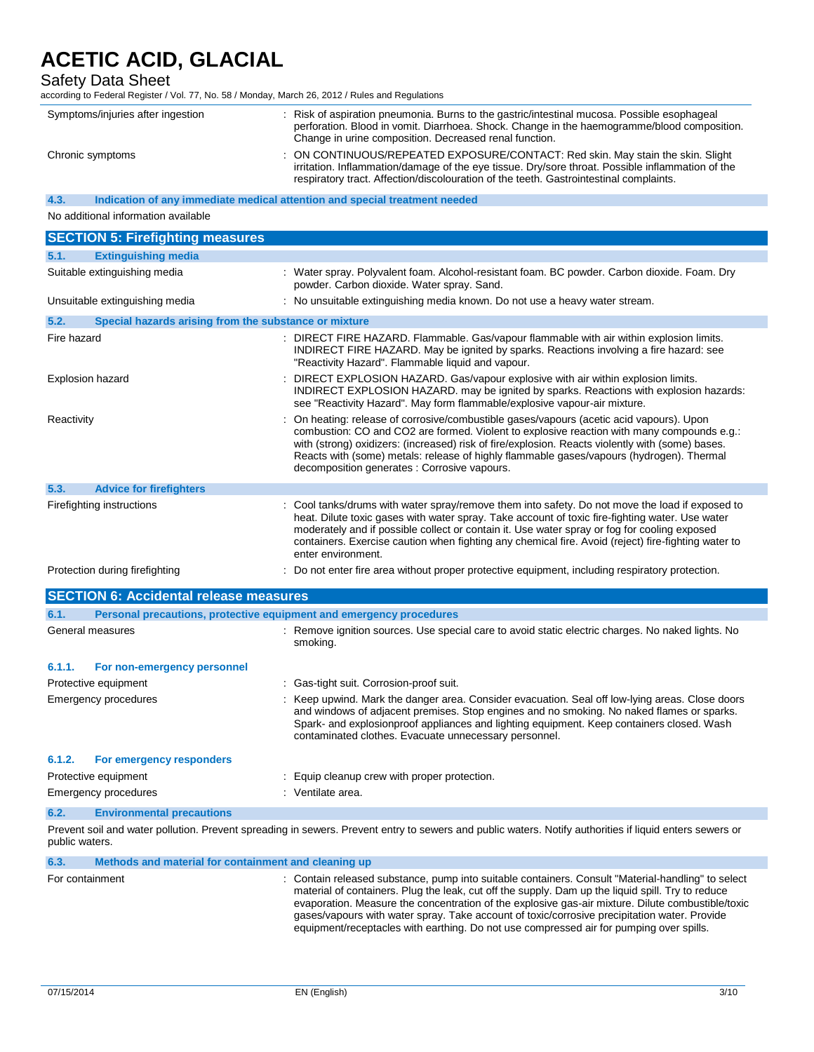### Safety Data Sheet

according to Federal Register / Vol. 77, No. 58 / Monday, March 26, 2012 / Rules and Regulations

| Symptoms/injuries after ingestion | : Risk of aspiration pneumonia. Burns to the gastric/intestinal mucosa. Possible esophageal<br>perforation. Blood in vomit. Diarrhoea. Shock. Change in the haemogramme/blood composition.<br>Change in urine composition. Decreased renal function.                          |
|-----------------------------------|-------------------------------------------------------------------------------------------------------------------------------------------------------------------------------------------------------------------------------------------------------------------------------|
| Chronic symptoms                  | : ON CONTINUOUS/REPEATED EXPOSURE/CONTACT: Red skin. May stain the skin. Slight<br>irritation. Inflammation/damage of the eye tissue. Dry/sore throat. Possible inflammation of the<br>respiratory tract. Affection/discolouration of the teeth. Gastrointestinal complaints. |

**4.3. Indication of any immediate medical attention and special treatment needed**

No additional information available

|             | <b>SECTION 5: Firefighting measures</b>               |                                                                                                                                                                                                                                                                                                                                                                                                                                        |
|-------------|-------------------------------------------------------|----------------------------------------------------------------------------------------------------------------------------------------------------------------------------------------------------------------------------------------------------------------------------------------------------------------------------------------------------------------------------------------------------------------------------------------|
| 5.1.        | <b>Extinguishing media</b>                            |                                                                                                                                                                                                                                                                                                                                                                                                                                        |
|             | Suitable extinguishing media                          | : Water spray. Polyvalent foam. Alcohol-resistant foam. BC powder. Carbon dioxide. Foam. Dry<br>powder. Carbon dioxide. Water spray. Sand.                                                                                                                                                                                                                                                                                             |
|             | Unsuitable extinguishing media                        | : No unsuitable extinguishing media known. Do not use a heavy water stream.                                                                                                                                                                                                                                                                                                                                                            |
| 5.2.        | Special hazards arising from the substance or mixture |                                                                                                                                                                                                                                                                                                                                                                                                                                        |
| Fire hazard |                                                       | : DIRECT FIRE HAZARD. Flammable. Gas/vapour flammable with air within explosion limits.<br>INDIRECT FIRE HAZARD. May be ignited by sparks. Reactions involving a fire hazard: see<br>"Reactivity Hazard". Flammable liquid and vapour.                                                                                                                                                                                                 |
|             | Explosion hazard                                      | : DIRECT EXPLOSION HAZARD. Gas/vapour explosive with air within explosion limits.<br>INDIRECT EXPLOSION HAZARD. may be ignited by sparks. Reactions with explosion hazards:<br>see "Reactivity Hazard". May form flammable/explosive vapour-air mixture.                                                                                                                                                                               |
| Reactivity  |                                                       | : On heating: release of corrosive/combustible gases/vapours (acetic acid vapours). Upon<br>combustion: CO and CO2 are formed. Violent to explosive reaction with many compounds e.g.:<br>with (strong) oxidizers: (increased) risk of fire/explosion. Reacts violently with (some) bases.<br>Reacts with (some) metals: release of highly flammable gases/vapours (hydrogen). Thermal<br>decomposition generates : Corrosive vapours. |
| 5.3.        | <b>Advice for firefighters</b>                        |                                                                                                                                                                                                                                                                                                                                                                                                                                        |
|             | Firefighting instructions                             | : Cool tanks/drums with water spray/remove them into safety. Do not move the load if exposed to<br>heat. Dilute toxic gases with water spray. Take account of toxic fire-fighting water. Use water<br>moderately and if possible collect or contain it. Use water spray or fog for cooling exposed<br>containers. Exercise caution when fighting any chemical fire. Avoid (reject) fire-fighting water to<br>enter environment.        |
|             | Protection during firefighting                        | Do not enter fire area without proper protective equipment, including respiratory protection.                                                                                                                                                                                                                                                                                                                                          |

|        | <b>SECTION 6: Accidental release measures</b> |                                                                                                                                                                                                                                                                                                                                                    |
|--------|-----------------------------------------------|----------------------------------------------------------------------------------------------------------------------------------------------------------------------------------------------------------------------------------------------------------------------------------------------------------------------------------------------------|
| 6.1.   |                                               | Personal precautions, protective equipment and emergency procedures                                                                                                                                                                                                                                                                                |
|        | General measures                              | Remove ignition sources. Use special care to avoid static electric charges. No naked lights. No<br>smoking.                                                                                                                                                                                                                                        |
| 6.1.1. | For non-emergency personnel                   |                                                                                                                                                                                                                                                                                                                                                    |
|        | Protective equipment                          | : Gas-tight suit. Corrosion-proof suit.                                                                                                                                                                                                                                                                                                            |
|        | Emergency procedures                          | : Keep upwind. Mark the danger area. Consider evacuation. Seal off low-lying areas. Close doors<br>and windows of adjacent premises. Stop engines and no smoking. No naked flames or sparks.<br>Spark- and explosionproof appliances and lighting equipment. Keep containers closed. Wash<br>contaminated clothes. Evacuate unnecessary personnel. |
| 6.1.2. | For emergency responders                      |                                                                                                                                                                                                                                                                                                                                                    |
|        | Protective equipment                          | : Equip cleanup crew with proper protection.                                                                                                                                                                                                                                                                                                       |
|        | Emergency procedures                          | : Ventilate area.                                                                                                                                                                                                                                                                                                                                  |
| 6.2.   | <b>Environmental precautions</b>              |                                                                                                                                                                                                                                                                                                                                                    |

Prevent soil and water pollution. Prevent spreading in sewers. Prevent entry to sewers and public waters. Notify authorities if liquid enters sewers or public waters.

#### **6.3. Methods and material for containment and cleaning up**

For containment : Contain released substance, pump into suitable containers. Consult "Material-handling" to select material of containers. Plug the leak, cut off the supply. Dam up the liquid spill. Try to reduce evaporation. Measure the concentration of the explosive gas-air mixture. Dilute combustible/toxic gases/vapours with water spray. Take account of toxic/corrosive precipitation water. Provide equipment/receptacles with earthing. Do not use compressed air for pumping over spills.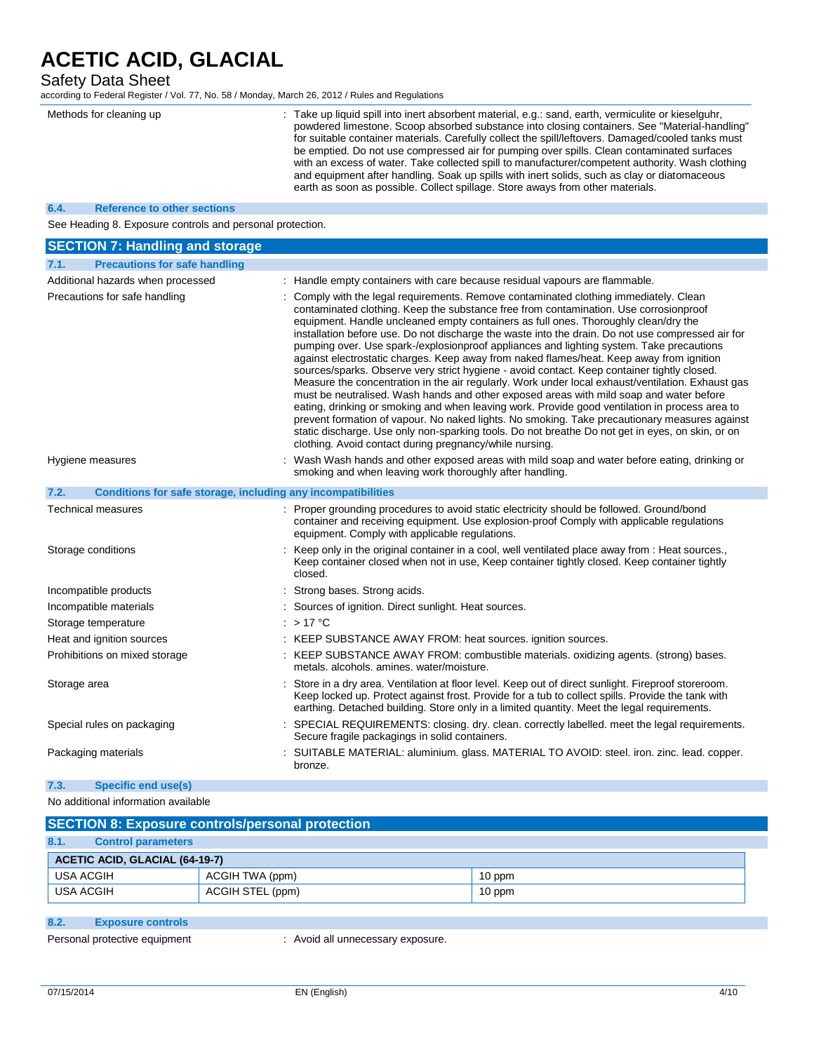### Safety Data Sheet

according to Federal Register / Vol. 77, No. 58 / Monday, March 26, 2012 / Rules and Regulations

|                    | Methods for cleaning up                                      | : Take up liquid spill into inert absorbent material, e.g.: sand, earth, vermiculite or kieselguhr,<br>powdered limestone. Scoop absorbed substance into closing containers. See "Material-handling"<br>for suitable container materials. Carefully collect the spill/leftovers. Damaged/cooled tanks must<br>be emptied. Do not use compressed air for pumping over spills. Clean contaminated surfaces<br>with an excess of water. Take collected spill to manufacturer/competent authority. Wash clothing<br>and equipment after handling. Soak up spills with inert solids, such as clay or diatomaceous<br>earth as soon as possible. Collect spillage. Store aways from other materials.                                                                                                                                                                                                                                                                                                                                                                                                                                                                                                                                      |
|--------------------|--------------------------------------------------------------|-------------------------------------------------------------------------------------------------------------------------------------------------------------------------------------------------------------------------------------------------------------------------------------------------------------------------------------------------------------------------------------------------------------------------------------------------------------------------------------------------------------------------------------------------------------------------------------------------------------------------------------------------------------------------------------------------------------------------------------------------------------------------------------------------------------------------------------------------------------------------------------------------------------------------------------------------------------------------------------------------------------------------------------------------------------------------------------------------------------------------------------------------------------------------------------------------------------------------------------|
| 6.4.               | <b>Reference to other sections</b>                           |                                                                                                                                                                                                                                                                                                                                                                                                                                                                                                                                                                                                                                                                                                                                                                                                                                                                                                                                                                                                                                                                                                                                                                                                                                     |
|                    | See Heading 8. Exposure controls and personal protection.    |                                                                                                                                                                                                                                                                                                                                                                                                                                                                                                                                                                                                                                                                                                                                                                                                                                                                                                                                                                                                                                                                                                                                                                                                                                     |
|                    | <b>SECTION 7: Handling and storage</b>                       |                                                                                                                                                                                                                                                                                                                                                                                                                                                                                                                                                                                                                                                                                                                                                                                                                                                                                                                                                                                                                                                                                                                                                                                                                                     |
| 7.1.               | <b>Precautions for safe handling</b>                         |                                                                                                                                                                                                                                                                                                                                                                                                                                                                                                                                                                                                                                                                                                                                                                                                                                                                                                                                                                                                                                                                                                                                                                                                                                     |
|                    | Additional hazards when processed                            | : Handle empty containers with care because residual vapours are flammable.                                                                                                                                                                                                                                                                                                                                                                                                                                                                                                                                                                                                                                                                                                                                                                                                                                                                                                                                                                                                                                                                                                                                                         |
|                    | Precautions for safe handling                                | : Comply with the legal requirements. Remove contaminated clothing immediately. Clean<br>contaminated clothing. Keep the substance free from contamination. Use corrosionproof<br>equipment. Handle uncleaned empty containers as full ones. Thoroughly clean/dry the<br>installation before use. Do not discharge the waste into the drain. Do not use compressed air for<br>pumping over. Use spark-/explosionproof appliances and lighting system. Take precautions<br>against electrostatic charges. Keep away from naked flames/heat. Keep away from ignition<br>sources/sparks. Observe very strict hygiene - avoid contact. Keep container tightly closed.<br>Measure the concentration in the air regularly. Work under local exhaust/ventilation. Exhaust gas<br>must be neutralised. Wash hands and other exposed areas with mild soap and water before<br>eating, drinking or smoking and when leaving work. Provide good ventilation in process area to<br>prevent formation of vapour. No naked lights. No smoking. Take precautionary measures against<br>static discharge. Use only non-sparking tools. Do not breathe Do not get in eyes, on skin, or on<br>clothing. Avoid contact during pregnancy/while nursing. |
| Hygiene measures   |                                                              | : Wash Wash hands and other exposed areas with mild soap and water before eating, drinking or<br>smoking and when leaving work thoroughly after handling.                                                                                                                                                                                                                                                                                                                                                                                                                                                                                                                                                                                                                                                                                                                                                                                                                                                                                                                                                                                                                                                                           |
| 7.2.               | Conditions for safe storage, including any incompatibilities |                                                                                                                                                                                                                                                                                                                                                                                                                                                                                                                                                                                                                                                                                                                                                                                                                                                                                                                                                                                                                                                                                                                                                                                                                                     |
|                    | Technical measures                                           | : Proper grounding procedures to avoid static electricity should be followed. Ground/bond<br>container and receiving equipment. Use explosion-proof Comply with applicable regulations<br>equipment. Comply with applicable regulations.                                                                                                                                                                                                                                                                                                                                                                                                                                                                                                                                                                                                                                                                                                                                                                                                                                                                                                                                                                                            |
| Storage conditions |                                                              | : Keep only in the original container in a cool, well ventilated place away from : Heat sources.,<br>Keep container closed when not in use, Keep container tightly closed. Keep container tightly<br>closed.                                                                                                                                                                                                                                                                                                                                                                                                                                                                                                                                                                                                                                                                                                                                                                                                                                                                                                                                                                                                                        |
|                    | Incompatible products                                        | : Strong bases. Strong acids.                                                                                                                                                                                                                                                                                                                                                                                                                                                                                                                                                                                                                                                                                                                                                                                                                                                                                                                                                                                                                                                                                                                                                                                                       |
|                    | Incompatible materials                                       | : Sources of ignition. Direct sunlight. Heat sources.                                                                                                                                                                                                                                                                                                                                                                                                                                                                                                                                                                                                                                                                                                                                                                                                                                                                                                                                                                                                                                                                                                                                                                               |
|                    | Storage temperature                                          | $: >17$ °C                                                                                                                                                                                                                                                                                                                                                                                                                                                                                                                                                                                                                                                                                                                                                                                                                                                                                                                                                                                                                                                                                                                                                                                                                          |
|                    | Heat and ignition sources                                    | : KEEP SUBSTANCE AWAY FROM: heat sources. ignition sources.                                                                                                                                                                                                                                                                                                                                                                                                                                                                                                                                                                                                                                                                                                                                                                                                                                                                                                                                                                                                                                                                                                                                                                         |
|                    | Prohibitions on mixed storage                                | : KEEP SUBSTANCE AWAY FROM: combustible materials. oxidizing agents. (strong) bases.<br>metals. alcohols. amines. water/moisture.                                                                                                                                                                                                                                                                                                                                                                                                                                                                                                                                                                                                                                                                                                                                                                                                                                                                                                                                                                                                                                                                                                   |
| Storage area       |                                                              | Store in a dry area. Ventilation at floor level. Keep out of direct sunlight. Fireproof storeroom.<br>Keep locked up. Protect against frost. Provide for a tub to collect spills. Provide the tank with<br>earthing. Detached building. Store only in a limited quantity. Meet the legal requirements.                                                                                                                                                                                                                                                                                                                                                                                                                                                                                                                                                                                                                                                                                                                                                                                                                                                                                                                              |
|                    | Special rules on packaging                                   | : SPECIAL REQUIREMENTS: closing. dry. clean. correctly labelled. meet the legal requirements.<br>Secure fragile packagings in solid containers.                                                                                                                                                                                                                                                                                                                                                                                                                                                                                                                                                                                                                                                                                                                                                                                                                                                                                                                                                                                                                                                                                     |
|                    | Packaging materials                                          | : SUITABLE MATERIAL: aluminium. glass. MATERIAL TO AVOID: steel. iron. zinc. lead. copper.<br>bronze.                                                                                                                                                                                                                                                                                                                                                                                                                                                                                                                                                                                                                                                                                                                                                                                                                                                                                                                                                                                                                                                                                                                               |
| 7.3.               | Specific end use(s)                                          |                                                                                                                                                                                                                                                                                                                                                                                                                                                                                                                                                                                                                                                                                                                                                                                                                                                                                                                                                                                                                                                                                                                                                                                                                                     |

No additional information available

| <b>SECTION 8: Exposure controls/personal protection</b> |                  |        |  |
|---------------------------------------------------------|------------------|--------|--|
| 8.1.<br><b>Control parameters</b>                       |                  |        |  |
| <b>ACETIC ACID, GLACIAL (64-19-7)</b>                   |                  |        |  |
| USA ACGIH                                               | ACGIH TWA (ppm)  | 10 ppm |  |
| USA ACGIH                                               | ACGIH STEL (ppm) | 10 ppm |  |

### **8.2. Exposure controls**

Personal protective equipment : Avoid all unnecessary exposure.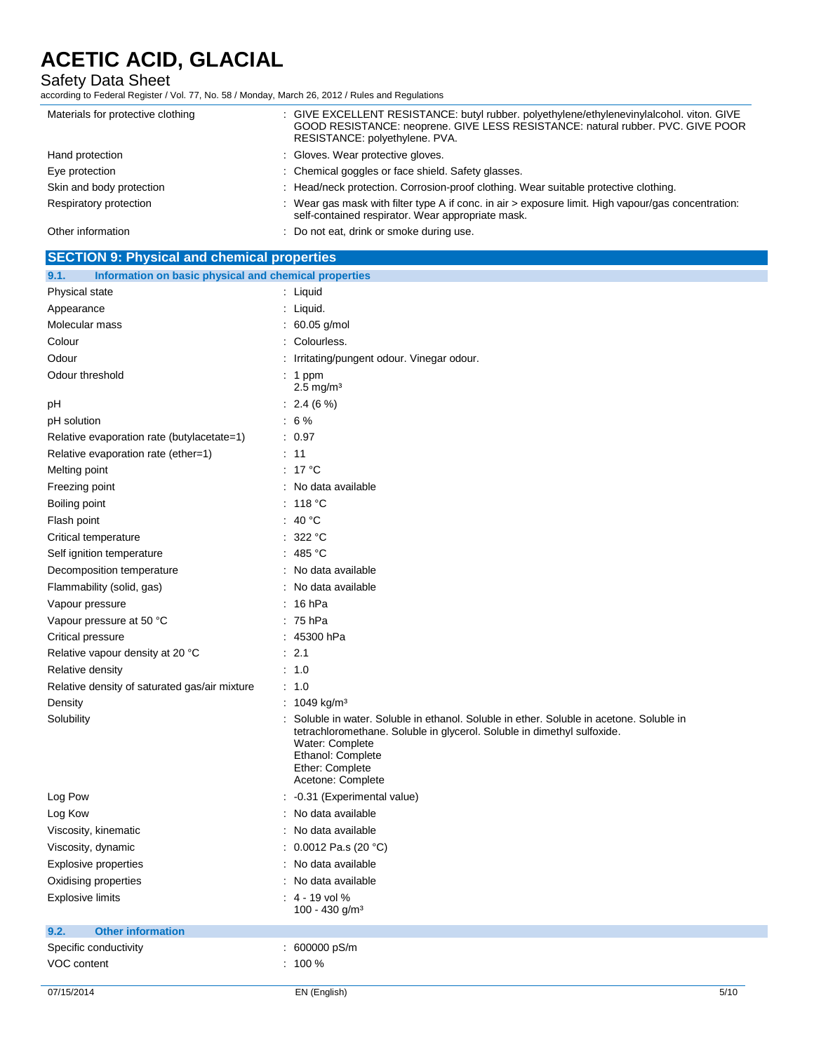### Safety Data Sheet

according to Federal Register / Vol. 77, No. 58 / Monday, March 26, 2012 / Rules and Regulations

| Materials for protective clothing | : GIVE EXCELLENT RESISTANCE: butyl rubber. polyethylene/ethylenevinylalcohol. viton. GIVE<br>GOOD RESISTANCE: neoprene. GIVE LESS RESISTANCE: natural rubber. PVC. GIVE POOR<br>RESISTANCE: polyethylene. PVA. |
|-----------------------------------|----------------------------------------------------------------------------------------------------------------------------------------------------------------------------------------------------------------|
| Hand protection                   | : Gloves. Wear protective gloves.                                                                                                                                                                              |
| Eye protection                    | : Chemical goggles or face shield. Safety glasses.                                                                                                                                                             |
| Skin and body protection          | : Head/neck protection. Corrosion-proof clothing. Wear suitable protective clothing.                                                                                                                           |
| Respiratory protection            | : Wear gas mask with filter type A if conc. in air > exposure limit. High vapour/gas concentration:<br>self-contained respirator. Wear appropriate mask.                                                       |
| Other information                 | : Do not eat, drink or smoke during use.                                                                                                                                                                       |

| <b>SECTION 9: Physical and chemical properties</b>            |                                                                                                                                                                                                                                                   |
|---------------------------------------------------------------|---------------------------------------------------------------------------------------------------------------------------------------------------------------------------------------------------------------------------------------------------|
| Information on basic physical and chemical properties<br>9.1. |                                                                                                                                                                                                                                                   |
| Physical state                                                | : Liquid                                                                                                                                                                                                                                          |
| Appearance                                                    | : Liquid.                                                                                                                                                                                                                                         |
| Molecular mass                                                | : 60.05 g/mol                                                                                                                                                                                                                                     |
| Colour                                                        | : Colourless.                                                                                                                                                                                                                                     |
| Odour                                                         | Irritating/pungent odour. Vinegar odour.                                                                                                                                                                                                          |
| Odour threshold                                               | : 1 ppm<br>$2.5 \text{ mg/m}^3$                                                                                                                                                                                                                   |
| рH                                                            | $: 2.4(6\%)$                                                                                                                                                                                                                                      |
| pH solution                                                   | $:6\%$                                                                                                                                                                                                                                            |
| Relative evaporation rate (butylacetate=1)                    | : 0.97                                                                                                                                                                                                                                            |
| Relative evaporation rate (ether=1)                           | : 11                                                                                                                                                                                                                                              |
| Melting point                                                 | : 17 °C                                                                                                                                                                                                                                           |
| Freezing point                                                | : No data available                                                                                                                                                                                                                               |
| Boiling point                                                 | $:~118~^{\circ}\mathrm{C}$                                                                                                                                                                                                                        |
| Flash point                                                   | : 40 $^{\circ}$ C                                                                                                                                                                                                                                 |
| Critical temperature                                          | : 322 °C                                                                                                                                                                                                                                          |
| Self ignition temperature                                     | : 485 °C                                                                                                                                                                                                                                          |
| Decomposition temperature                                     | : No data available                                                                                                                                                                                                                               |
| Flammability (solid, gas)                                     | : No data available                                                                                                                                                                                                                               |
| Vapour pressure                                               | : 16 hPa                                                                                                                                                                                                                                          |
| Vapour pressure at 50 °C                                      | : 75 hPa                                                                                                                                                                                                                                          |
| Critical pressure                                             | : 45300 hPa                                                                                                                                                                                                                                       |
| Relative vapour density at 20 °C                              | $\therefore$ 2.1                                                                                                                                                                                                                                  |
| Relative density                                              | : 1.0                                                                                                                                                                                                                                             |
| Relative density of saturated gas/air mixture                 | : 1.0                                                                                                                                                                                                                                             |
| Density                                                       | : $1049 \text{ kg/m}^3$                                                                                                                                                                                                                           |
| Solubility                                                    | Soluble in water. Soluble in ethanol. Soluble in ether. Soluble in acetone. Soluble in<br>tetrachloromethane. Soluble in glycerol. Soluble in dimethyl sulfoxide.<br>Water: Complete<br>Ethanol: Complete<br>Ether: Complete<br>Acetone: Complete |
| Log Pow                                                       | : -0.31 (Experimental value)                                                                                                                                                                                                                      |
| Log Kow                                                       | : No data available                                                                                                                                                                                                                               |
| Viscosity, kinematic                                          | : No data available                                                                                                                                                                                                                               |
| Viscosity, dynamic                                            | : $0.0012$ Pa.s (20 °C)                                                                                                                                                                                                                           |
| Explosive properties                                          | : No data available                                                                                                                                                                                                                               |
| Oxidising properties                                          | : No data available                                                                                                                                                                                                                               |
| <b>Explosive limits</b>                                       | $: 4 - 19$ vol %<br>100 - 430 g/m <sup>3</sup>                                                                                                                                                                                                    |
| <b>Other information</b><br>9.2.                              |                                                                                                                                                                                                                                                   |
| Specific conductivity                                         | : 600000 pS/m                                                                                                                                                                                                                                     |
| VOC content                                                   | $: 100 \%$                                                                                                                                                                                                                                        |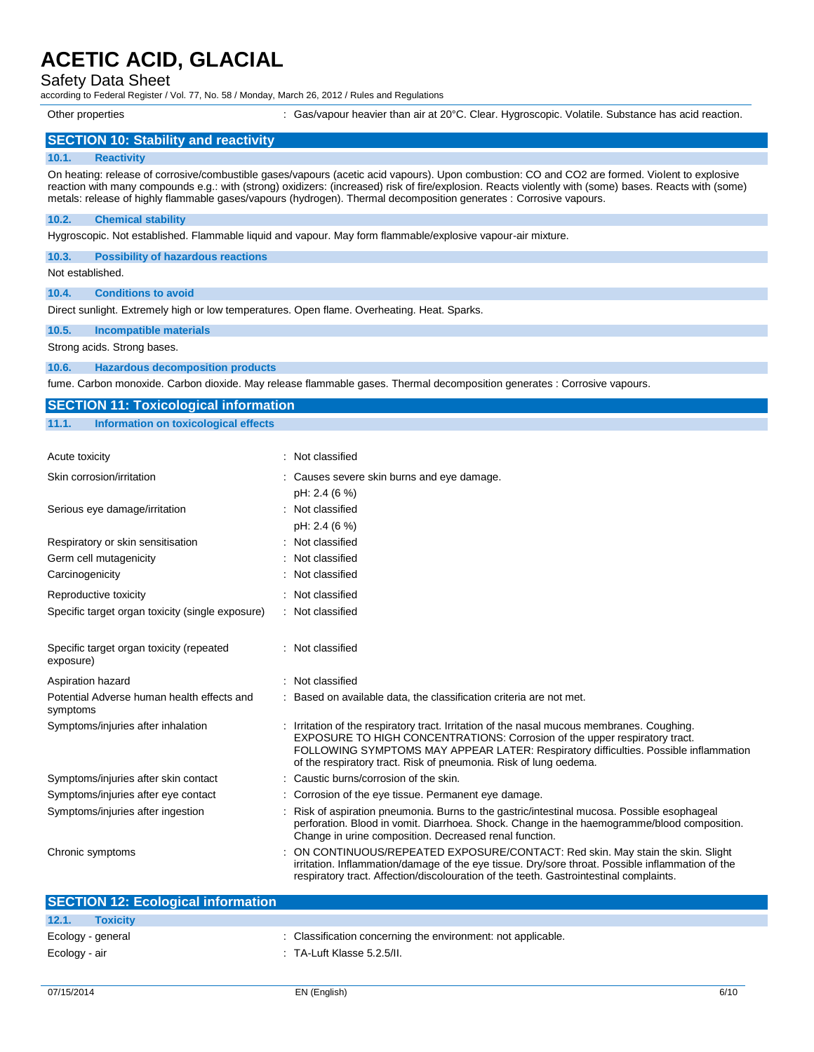### Safety Data Sheet

according to Federal Register / Vol. 77, No. 58 / Monday, March 26, 2012 / Rules and Regulations

Other properties : Gas/vapour heavier than air at 20°C. Clear. Hygroscopic. Volatile. Substance has acid reaction.

### **SECTION 10: Stability and reactivity**

#### **10.1. Reactivity**

On heating: release of corrosive/combustible gases/vapours (acetic acid vapours). Upon combustion: CO and CO2 are formed. Violent to explosive reaction with many compounds e.g.: with (strong) oxidizers: (increased) risk of fire/explosion. Reacts violently with (some) bases. Reacts with (some) metals: release of highly flammable gases/vapours (hydrogen). Thermal decomposition generates : Corrosive vapours.

#### **10.2. Chemical stability**

Hygroscopic. Not established. Flammable liquid and vapour. May form flammable/explosive vapour-air mixture.

**10.3. Possibility of hazardous reactions**

Not established.

**10.4. Conditions to avoid**

Direct sunlight. Extremely high or low temperatures. Open flame. Overheating. Heat. Sparks.

**10.5. Incompatible materials**

Strong acids. Strong bases.

#### **10.6. Hazardous decomposition products**

fume. Carbon monoxide. Carbon dioxide. May release flammable gases. Thermal decomposition generates : Corrosive vapours.

| <b>SECTION 11: Toxicological information</b>           |                                                                                                                                                                                                                                                                                                                                       |
|--------------------------------------------------------|---------------------------------------------------------------------------------------------------------------------------------------------------------------------------------------------------------------------------------------------------------------------------------------------------------------------------------------|
| 11.1.<br>Information on toxicological effects          |                                                                                                                                                                                                                                                                                                                                       |
|                                                        |                                                                                                                                                                                                                                                                                                                                       |
| <b>Acute toxicity</b>                                  | : Not classified                                                                                                                                                                                                                                                                                                                      |
| Skin corrosion/irritation                              | Causes severe skin burns and eye damage.                                                                                                                                                                                                                                                                                              |
|                                                        | pH: 2.4 (6 %)                                                                                                                                                                                                                                                                                                                         |
| Serious eye damage/irritation                          | : Not classified                                                                                                                                                                                                                                                                                                                      |
|                                                        | pH: 2.4 (6 %)                                                                                                                                                                                                                                                                                                                         |
| Respiratory or skin sensitisation                      | Not classified                                                                                                                                                                                                                                                                                                                        |
| Germ cell mutagenicity                                 | Not classified                                                                                                                                                                                                                                                                                                                        |
| Carcinogenicity                                        | Not classified                                                                                                                                                                                                                                                                                                                        |
| Reproductive toxicity                                  | Not classified                                                                                                                                                                                                                                                                                                                        |
| Specific target organ toxicity (single exposure)       | : Not classified                                                                                                                                                                                                                                                                                                                      |
| Specific target organ toxicity (repeated<br>exposure)  | : Not classified                                                                                                                                                                                                                                                                                                                      |
| Aspiration hazard                                      | Not classified                                                                                                                                                                                                                                                                                                                        |
| Potential Adverse human health effects and<br>symptoms | : Based on available data, the classification criteria are not met.                                                                                                                                                                                                                                                                   |
| Symptoms/injuries after inhalation                     | : Irritation of the respiratory tract. Irritation of the nasal mucous membranes. Coughing.<br>EXPOSURE TO HIGH CONCENTRATIONS: Corrosion of the upper respiratory tract.<br>FOLLOWING SYMPTOMS MAY APPEAR LATER: Respiratory difficulties. Possible inflammation<br>of the respiratory tract. Risk of pneumonia. Risk of lung oedema. |
| Symptoms/injuries after skin contact                   | : Caustic burns/corrosion of the skin.                                                                                                                                                                                                                                                                                                |
| Symptoms/injuries after eye contact                    | Corrosion of the eye tissue. Permanent eye damage.                                                                                                                                                                                                                                                                                    |
| Symptoms/injuries after ingestion                      | Risk of aspiration pneumonia. Burns to the gastric/intestinal mucosa. Possible esophageal<br>perforation. Blood in vomit. Diarrhoea. Shock. Change in the haemogramme/blood composition.<br>Change in urine composition. Decreased renal function.                                                                                    |
| Chronic symptoms                                       | ON CONTINUOUS/REPEATED EXPOSURE/CONTACT: Red skin. May stain the skin. Slight<br>irritation. Inflammation/damage of the eye tissue. Dry/sore throat. Possible inflammation of the<br>respiratory tract. Affection/discolouration of the teeth. Gastrointestinal complaints.                                                           |

| <b>SECTION 12: Ecological information</b> |                                                              |
|-------------------------------------------|--------------------------------------------------------------|
| 12.1.<br><b>Toxicity</b>                  |                                                              |
| Ecology - general                         | : Classification concerning the environment: not applicable. |
| Ecology - air                             | $\therefore$ TA-Luft Klasse 5.2.5/II.                        |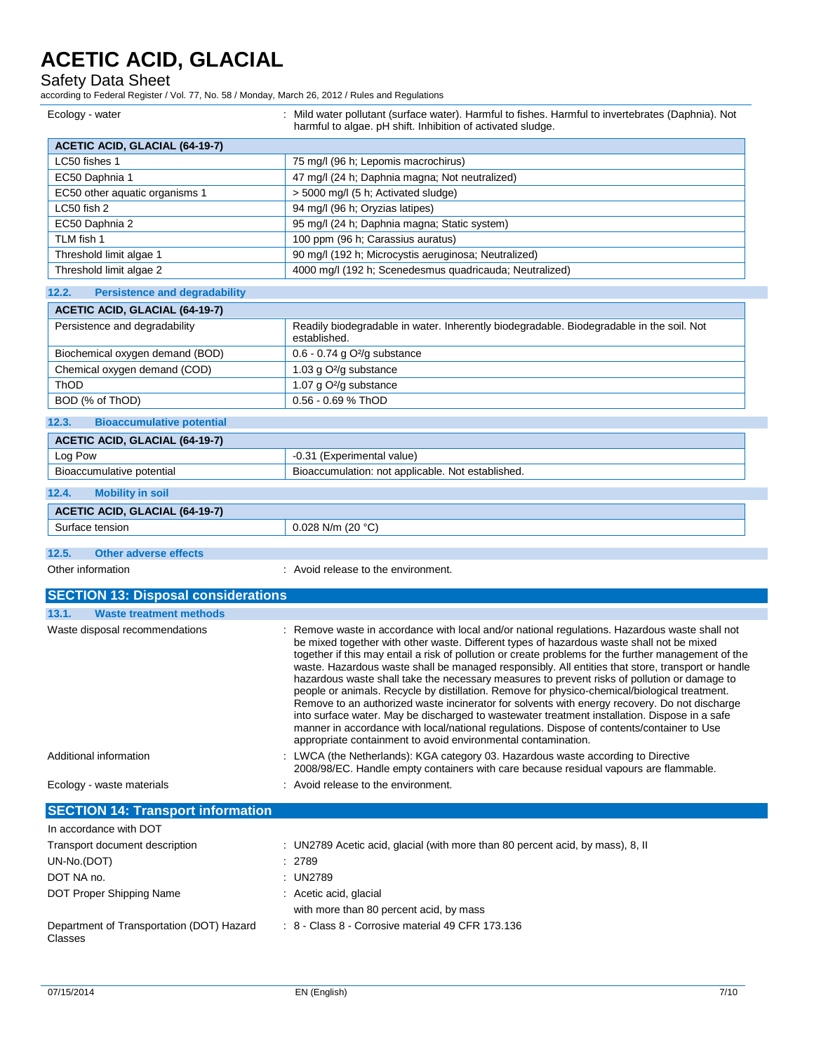Safety Data Sheet

according to Federal Register / Vol. 77, No. 58 / Monday, March 26, 2012 / Rules and Regulations

| Ecology - water                               | : Mild water pollutant (surface water). Harmful to fishes. Harmful to invertebrates (Daphnia). Not<br>harmful to algae. pH shift. Inhibition of activated sludge.                                                                                                                                                                                                                                                                                                                                                                                                                                                                                                                                                                                                                                                                                                                                                                                                        |
|-----------------------------------------------|--------------------------------------------------------------------------------------------------------------------------------------------------------------------------------------------------------------------------------------------------------------------------------------------------------------------------------------------------------------------------------------------------------------------------------------------------------------------------------------------------------------------------------------------------------------------------------------------------------------------------------------------------------------------------------------------------------------------------------------------------------------------------------------------------------------------------------------------------------------------------------------------------------------------------------------------------------------------------|
| <b>ACETIC ACID, GLACIAL (64-19-7)</b>         |                                                                                                                                                                                                                                                                                                                                                                                                                                                                                                                                                                                                                                                                                                                                                                                                                                                                                                                                                                          |
| LC50 fishes 1                                 | 75 mg/l (96 h; Lepomis macrochirus)                                                                                                                                                                                                                                                                                                                                                                                                                                                                                                                                                                                                                                                                                                                                                                                                                                                                                                                                      |
| EC50 Daphnia 1                                | 47 mg/l (24 h; Daphnia magna; Not neutralized)                                                                                                                                                                                                                                                                                                                                                                                                                                                                                                                                                                                                                                                                                                                                                                                                                                                                                                                           |
| EC50 other aquatic organisms 1                | > 5000 mg/l (5 h; Activated sludge)                                                                                                                                                                                                                                                                                                                                                                                                                                                                                                                                                                                                                                                                                                                                                                                                                                                                                                                                      |
| LC50 fish 2                                   | 94 mg/l (96 h; Oryzias latipes)                                                                                                                                                                                                                                                                                                                                                                                                                                                                                                                                                                                                                                                                                                                                                                                                                                                                                                                                          |
| EC50 Daphnia 2                                | 95 mg/l (24 h; Daphnia magna; Static system)                                                                                                                                                                                                                                                                                                                                                                                                                                                                                                                                                                                                                                                                                                                                                                                                                                                                                                                             |
| TLM fish 1                                    | 100 ppm (96 h; Carassius auratus)                                                                                                                                                                                                                                                                                                                                                                                                                                                                                                                                                                                                                                                                                                                                                                                                                                                                                                                                        |
| Threshold limit algae 1                       | 90 mg/l (192 h; Microcystis aeruginosa; Neutralized)                                                                                                                                                                                                                                                                                                                                                                                                                                                                                                                                                                                                                                                                                                                                                                                                                                                                                                                     |
| Threshold limit algae 2                       | 4000 mg/l (192 h; Scenedesmus quadricauda; Neutralized)                                                                                                                                                                                                                                                                                                                                                                                                                                                                                                                                                                                                                                                                                                                                                                                                                                                                                                                  |
| 12.2.<br><b>Persistence and degradability</b> |                                                                                                                                                                                                                                                                                                                                                                                                                                                                                                                                                                                                                                                                                                                                                                                                                                                                                                                                                                          |
| <b>ACETIC ACID, GLACIAL (64-19-7)</b>         |                                                                                                                                                                                                                                                                                                                                                                                                                                                                                                                                                                                                                                                                                                                                                                                                                                                                                                                                                                          |
| Persistence and degradability                 | Readily biodegradable in water. Inherently biodegradable. Biodegradable in the soil. Not<br>established.                                                                                                                                                                                                                                                                                                                                                                                                                                                                                                                                                                                                                                                                                                                                                                                                                                                                 |
| Biochemical oxygen demand (BOD)               | 0.6 - 0.74 g O <sup>2</sup> /g substance                                                                                                                                                                                                                                                                                                                                                                                                                                                                                                                                                                                                                                                                                                                                                                                                                                                                                                                                 |
| Chemical oxygen demand (COD)                  | 1.03 g O <sup>2</sup> /g substance                                                                                                                                                                                                                                                                                                                                                                                                                                                                                                                                                                                                                                                                                                                                                                                                                                                                                                                                       |
| ThOD                                          | 1.07 g O <sup>2</sup> /g substance                                                                                                                                                                                                                                                                                                                                                                                                                                                                                                                                                                                                                                                                                                                                                                                                                                                                                                                                       |
| BOD (% of ThOD)                               | 0.56 - 0.69 % ThOD                                                                                                                                                                                                                                                                                                                                                                                                                                                                                                                                                                                                                                                                                                                                                                                                                                                                                                                                                       |
| 12.3.<br><b>Bioaccumulative potential</b>     |                                                                                                                                                                                                                                                                                                                                                                                                                                                                                                                                                                                                                                                                                                                                                                                                                                                                                                                                                                          |
| <b>ACETIC ACID, GLACIAL (64-19-7)</b>         |                                                                                                                                                                                                                                                                                                                                                                                                                                                                                                                                                                                                                                                                                                                                                                                                                                                                                                                                                                          |
| Log Pow                                       | -0.31 (Experimental value)                                                                                                                                                                                                                                                                                                                                                                                                                                                                                                                                                                                                                                                                                                                                                                                                                                                                                                                                               |
| Bioaccumulative potential                     | Bioaccumulation: not applicable. Not established.                                                                                                                                                                                                                                                                                                                                                                                                                                                                                                                                                                                                                                                                                                                                                                                                                                                                                                                        |
| 12.4.<br><b>Mobility in soil</b>              |                                                                                                                                                                                                                                                                                                                                                                                                                                                                                                                                                                                                                                                                                                                                                                                                                                                                                                                                                                          |
| <b>ACETIC ACID, GLACIAL (64-19-7)</b>         |                                                                                                                                                                                                                                                                                                                                                                                                                                                                                                                                                                                                                                                                                                                                                                                                                                                                                                                                                                          |
| Surface tension                               | 0.028 N/m (20 $°C$ )                                                                                                                                                                                                                                                                                                                                                                                                                                                                                                                                                                                                                                                                                                                                                                                                                                                                                                                                                     |
| 12.5.<br><b>Other adverse effects</b>         |                                                                                                                                                                                                                                                                                                                                                                                                                                                                                                                                                                                                                                                                                                                                                                                                                                                                                                                                                                          |
| Other information                             | : Avoid release to the environment.                                                                                                                                                                                                                                                                                                                                                                                                                                                                                                                                                                                                                                                                                                                                                                                                                                                                                                                                      |
|                                               |                                                                                                                                                                                                                                                                                                                                                                                                                                                                                                                                                                                                                                                                                                                                                                                                                                                                                                                                                                          |
| <b>SECTION 13: Disposal considerations</b>    |                                                                                                                                                                                                                                                                                                                                                                                                                                                                                                                                                                                                                                                                                                                                                                                                                                                                                                                                                                          |
| 13.1.<br><b>Waste treatment methods</b>       |                                                                                                                                                                                                                                                                                                                                                                                                                                                                                                                                                                                                                                                                                                                                                                                                                                                                                                                                                                          |
| Waste disposal recommendations                | Remove waste in accordance with local and/or national regulations. Hazardous waste shall not<br>be mixed together with other waste. Different types of hazardous waste shall not be mixed<br>together if this may entail a risk of pollution or create problems for the further management of the<br>waste. Hazardous waste shall be managed responsibly. All entities that store, transport or handle<br>hazardous waste shall take the necessary measures to prevent risks of pollution or damage to<br>people or animals. Recycle by distillation. Remove for physico-chemical/biological treatment.<br>Remove to an authorized waste incinerator for solvents with energy recovery. Do not discharge<br>into surface water. May be discharged to wastewater treatment installation. Dispose in a safe<br>manner in accordance with local/national regulations. Dispose of contents/container to Use<br>appropriate containment to avoid environmental contamination. |
| Additional information                        | : LWCA (the Netherlands): KGA category 03. Hazardous waste according to Directive<br>2008/98/EC. Handle empty containers with care because residual vapours are flammable.                                                                                                                                                                                                                                                                                                                                                                                                                                                                                                                                                                                                                                                                                                                                                                                               |
| Ecology - waste materials                     | : Avoid release to the environment.                                                                                                                                                                                                                                                                                                                                                                                                                                                                                                                                                                                                                                                                                                                                                                                                                                                                                                                                      |
| <b>SECTION 14: Transport information</b>      |                                                                                                                                                                                                                                                                                                                                                                                                                                                                                                                                                                                                                                                                                                                                                                                                                                                                                                                                                                          |
| In accordance with DOT                        |                                                                                                                                                                                                                                                                                                                                                                                                                                                                                                                                                                                                                                                                                                                                                                                                                                                                                                                                                                          |
| Transport document description                | : UN2789 Acetic acid, glacial (with more than 80 percent acid, by mass), 8, II                                                                                                                                                                                                                                                                                                                                                                                                                                                                                                                                                                                                                                                                                                                                                                                                                                                                                           |
| UN-No.(DOT)                                   | : 2789                                                                                                                                                                                                                                                                                                                                                                                                                                                                                                                                                                                                                                                                                                                                                                                                                                                                                                                                                                   |
| DOT NA no.                                    | : UN2789                                                                                                                                                                                                                                                                                                                                                                                                                                                                                                                                                                                                                                                                                                                                                                                                                                                                                                                                                                 |
| DOT Proper Shipping Name                      | : Acetic acid, glacial                                                                                                                                                                                                                                                                                                                                                                                                                                                                                                                                                                                                                                                                                                                                                                                                                                                                                                                                                   |
|                                               | with more than 80 percent acid, by mass                                                                                                                                                                                                                                                                                                                                                                                                                                                                                                                                                                                                                                                                                                                                                                                                                                                                                                                                  |

Department of Transportation (DOT) Hazard Classes : 8 - Class 8 - Corrosive material 49 CFR 173.136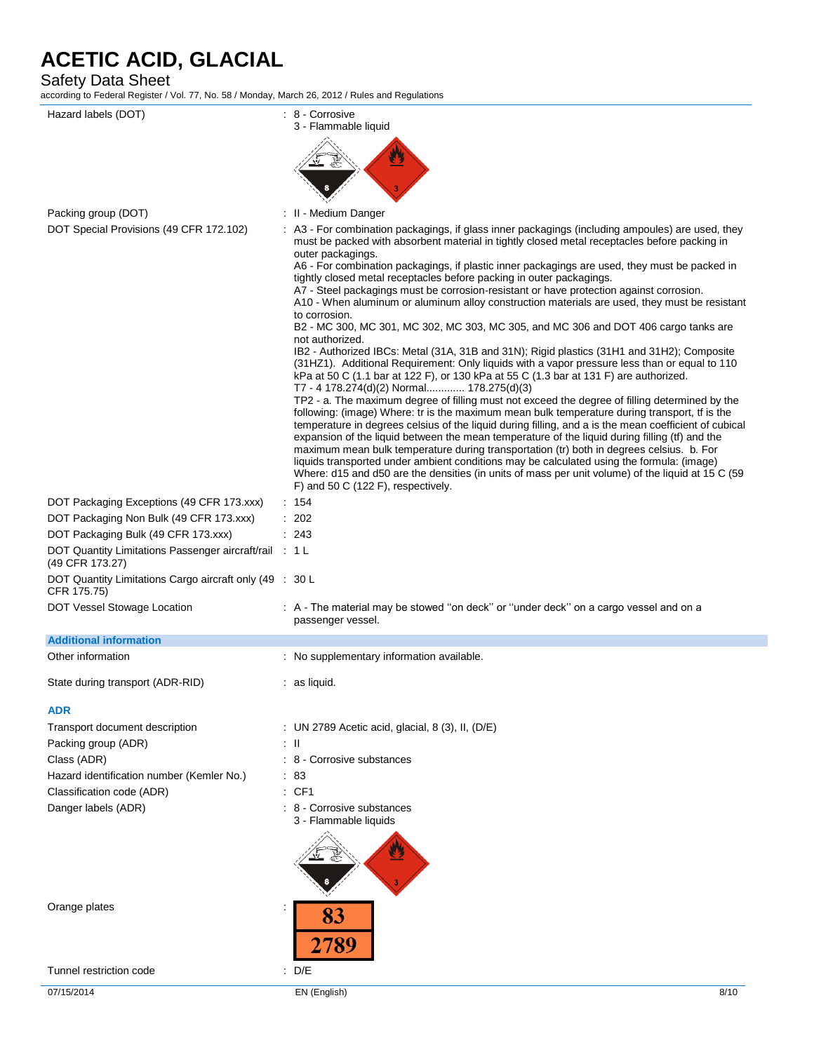Safety Data Sheet

according to Federal Register / Vol. 77, No. 58 / Monday, March 26, 2012 / Rules and Regulations

| according to Federal Register / Vol. 77, No. 58 / Monday, March 26, 2012 / Rules and Regulations<br>Hazard labels (DOT) | : 8 - Corrosive                                                                                                                                                                                                                                                                                                                                                                                                                                                                                                                                                                                                                                                                                                                                |
|-------------------------------------------------------------------------------------------------------------------------|------------------------------------------------------------------------------------------------------------------------------------------------------------------------------------------------------------------------------------------------------------------------------------------------------------------------------------------------------------------------------------------------------------------------------------------------------------------------------------------------------------------------------------------------------------------------------------------------------------------------------------------------------------------------------------------------------------------------------------------------|
|                                                                                                                         | 3 - Flammable liquid                                                                                                                                                                                                                                                                                                                                                                                                                                                                                                                                                                                                                                                                                                                           |
|                                                                                                                         |                                                                                                                                                                                                                                                                                                                                                                                                                                                                                                                                                                                                                                                                                                                                                |
|                                                                                                                         |                                                                                                                                                                                                                                                                                                                                                                                                                                                                                                                                                                                                                                                                                                                                                |
|                                                                                                                         |                                                                                                                                                                                                                                                                                                                                                                                                                                                                                                                                                                                                                                                                                                                                                |
|                                                                                                                         |                                                                                                                                                                                                                                                                                                                                                                                                                                                                                                                                                                                                                                                                                                                                                |
| Packing group (DOT)<br>DOT Special Provisions (49 CFR 172.102)                                                          | : II - Medium Danger<br>: A3 - For combination packagings, if glass inner packagings (including ampoules) are used, they                                                                                                                                                                                                                                                                                                                                                                                                                                                                                                                                                                                                                       |
|                                                                                                                         | must be packed with absorbent material in tightly closed metal receptacles before packing in<br>outer packagings.<br>A6 - For combination packagings, if plastic inner packagings are used, they must be packed in<br>tightly closed metal receptacles before packing in outer packagings.<br>A7 - Steel packagings must be corrosion-resistant or have protection against corrosion.<br>A10 - When aluminum or aluminum alloy construction materials are used, they must be resistant<br>to corrosion.<br>B2 - MC 300, MC 301, MC 302, MC 303, MC 305, and MC 306 and DOT 406 cargo tanks are                                                                                                                                                 |
|                                                                                                                         | not authorized.<br>IB2 - Authorized IBCs: Metal (31A, 31B and 31N); Rigid plastics (31H1 and 31H2); Composite<br>(31HZ1). Additional Requirement: Only liquids with a vapor pressure less than or equal to 110<br>kPa at 50 C (1.1 bar at 122 F), or 130 kPa at 55 C (1.3 bar at 131 F) are authorized.<br>T7 - 4 178.274(d)(2) Normal 178.275(d)(3)                                                                                                                                                                                                                                                                                                                                                                                           |
|                                                                                                                         | TP2 - a. The maximum degree of filling must not exceed the degree of filling determined by the<br>following: (image) Where: tr is the maximum mean bulk temperature during transport, tf is the<br>temperature in degrees celsius of the liquid during filling, and a is the mean coefficient of cubical<br>expansion of the liquid between the mean temperature of the liquid during filling (tf) and the<br>maximum mean bulk temperature during transportation (tr) both in degrees celsius. b. For<br>liquids transported under ambient conditions may be calculated using the formula: (image)<br>Where: d15 and d50 are the densities (in units of mass per unit volume) of the liquid at 15 C (59<br>F) and 50 C (122 F), respectively. |
| DOT Packaging Exceptions (49 CFR 173.xxx)                                                                               | : 154                                                                                                                                                                                                                                                                                                                                                                                                                                                                                                                                                                                                                                                                                                                                          |
| DOT Packaging Non Bulk (49 CFR 173.xxx)                                                                                 | : 202                                                                                                                                                                                                                                                                                                                                                                                                                                                                                                                                                                                                                                                                                                                                          |
| DOT Packaging Bulk (49 CFR 173.xxx)                                                                                     | : 243                                                                                                                                                                                                                                                                                                                                                                                                                                                                                                                                                                                                                                                                                                                                          |
| DOT Quantity Limitations Passenger aircraft/rail : 1 L<br>(49 CFR 173.27)                                               |                                                                                                                                                                                                                                                                                                                                                                                                                                                                                                                                                                                                                                                                                                                                                |
| DOT Quantity Limitations Cargo aircraft only (49 : 30 L<br>CFR 175.75)                                                  |                                                                                                                                                                                                                                                                                                                                                                                                                                                                                                                                                                                                                                                                                                                                                |
| DOT Vessel Stowage Location                                                                                             | : A - The material may be stowed "on deck" or "under deck" on a cargo vessel and on a<br>passenger vessel.                                                                                                                                                                                                                                                                                                                                                                                                                                                                                                                                                                                                                                     |
| <b>Additional information</b>                                                                                           |                                                                                                                                                                                                                                                                                                                                                                                                                                                                                                                                                                                                                                                                                                                                                |
| Other information                                                                                                       | : No supplementary information available.                                                                                                                                                                                                                                                                                                                                                                                                                                                                                                                                                                                                                                                                                                      |
| State during transport (ADR-RID)                                                                                        | $:$ as liquid.                                                                                                                                                                                                                                                                                                                                                                                                                                                                                                                                                                                                                                                                                                                                 |
| <b>ADR</b>                                                                                                              |                                                                                                                                                                                                                                                                                                                                                                                                                                                                                                                                                                                                                                                                                                                                                |
| Transport document description                                                                                          | : UN 2789 Acetic acid, glacial, 8 (3), II, (D/E)                                                                                                                                                                                                                                                                                                                                                                                                                                                                                                                                                                                                                                                                                               |
| Packing group (ADR)                                                                                                     | : II                                                                                                                                                                                                                                                                                                                                                                                                                                                                                                                                                                                                                                                                                                                                           |
| Class (ADR)                                                                                                             | : 8 - Corrosive substances                                                                                                                                                                                                                                                                                                                                                                                                                                                                                                                                                                                                                                                                                                                     |
| Hazard identification number (Kemler No.)                                                                               | : 83                                                                                                                                                                                                                                                                                                                                                                                                                                                                                                                                                                                                                                                                                                                                           |
| Classification code (ADR)                                                                                               | : CF1                                                                                                                                                                                                                                                                                                                                                                                                                                                                                                                                                                                                                                                                                                                                          |
| Danger labels (ADR)                                                                                                     | : 8 - Corrosive substances<br>3 - Flammable liquids                                                                                                                                                                                                                                                                                                                                                                                                                                                                                                                                                                                                                                                                                            |
|                                                                                                                         |                                                                                                                                                                                                                                                                                                                                                                                                                                                                                                                                                                                                                                                                                                                                                |
| Orange plates                                                                                                           | 83                                                                                                                                                                                                                                                                                                                                                                                                                                                                                                                                                                                                                                                                                                                                             |
|                                                                                                                         | 2789                                                                                                                                                                                                                                                                                                                                                                                                                                                                                                                                                                                                                                                                                                                                           |

Tunnel restriction code : D/E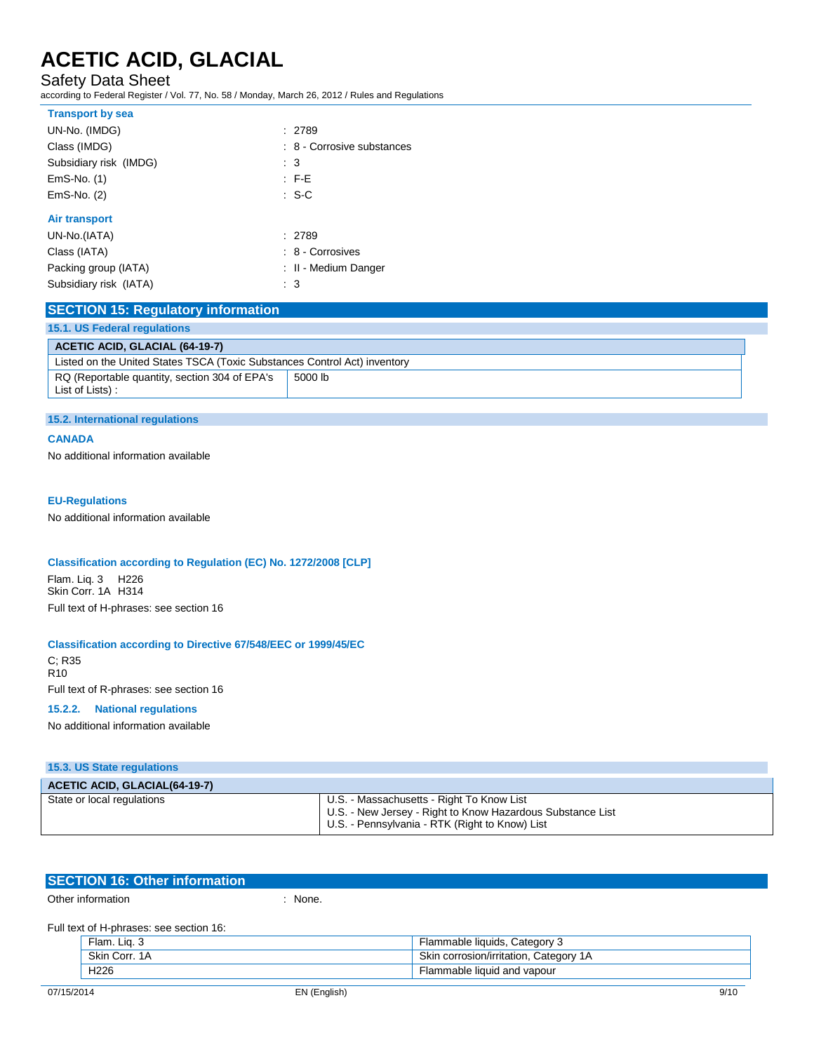Safety Data Sheet

according to Federal Register / Vol. 77, No. 58 / Monday, March 26, 2012 / Rules and Regulations

| <b>Transport by sea</b> |                            |
|-------------------------|----------------------------|
| UN-No. (IMDG)           | : 2789                     |
| Class (IMDG)            | : 8 - Corrosive substances |
| Subsidiary risk (IMDG)  | $\therefore$ 3             |
| $EmS-No.$ (1)           | $\therefore$ F-E           |
| $EmS-No.$ (2)           | $\cdot$ S-C                |
| <b>Air transport</b>    |                            |
| UN-No.(IATA)            | : 2789                     |
| Class (IATA)            | : 8 - Corrosives           |
| Packing group (IATA)    | : II - Medium Danger       |
| Subsidiary risk (IATA)  | : 3                        |

| <b>SECTION 15: Regulatory information</b>                                 |         |  |
|---------------------------------------------------------------------------|---------|--|
| 15.1. US Federal regulations                                              |         |  |
| <b>ACETIC ACID, GLACIAL (64-19-7)</b>                                     |         |  |
| Listed on the United States TSCA (Toxic Substances Control Act) inventory |         |  |
| RQ (Reportable quantity, section 304 of EPA's<br>List of Lists) :         | 5000 lb |  |

#### **15.2. International regulations**

### **CANADA**

No additional information available

#### **EU-Regulations**

No additional information available

#### **Classification according to Regulation (EC) No. 1272/2008 [CLP]**

Flam. Liq. 3 H226 Skin Corr. 1A H314 Full text of H-phrases: see section 16

#### **Classification according to Directive 67/548/EEC or 1999/45/EC**

C; R35 R10 Full text of R-phrases: see section 16

### **15.2.2. National regulations**

No additional information available

| 15.3. US State regulations           |                                                                                                                                                           |
|--------------------------------------|-----------------------------------------------------------------------------------------------------------------------------------------------------------|
| <b>ACETIC ACID, GLACIAL(64-19-7)</b> |                                                                                                                                                           |
| State or local regulations           | U.S. - Massachusetts - Right To Know List<br>U.S. - New Jersey - Right to Know Hazardous Substance List<br>U.S. - Pennsylvania - RTK (Right to Know) List |

| <b>SECTION 16: Other information</b>    |       |
|-----------------------------------------|-------|
| Other information                       | None. |
| Full text of H-phrases: see section 16: |       |

| ∸lam.<br>$\sim$  | Category<br><b>liquids</b><br>lammable         |
|------------------|------------------------------------------------|
| Skin<br>Corr. 1A | Skir<br>Categor<br>corrosion/irritation.<br>ΙA |
| H <sub>226</sub> | lammable liquid and vapour                     |